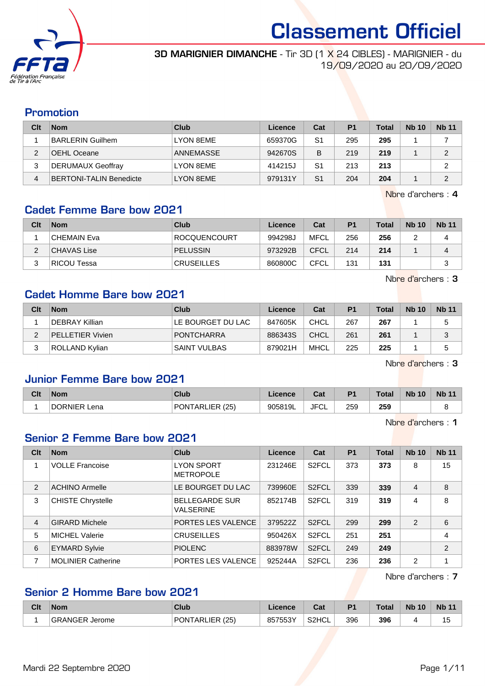

#### **3D MARIGNIER DIMANCHE** - Tir 3D [1 X 24 CIBLES] - MARIGNIER - du 19/09/2020 au 20/09/2020

### Promotion

| Clt | <b>Nom</b>                     | Club      | Licence | Cat            | P <sub>1</sub> | <b>Total</b> | <b>Nb 10</b> | <b>Nb 11</b> |
|-----|--------------------------------|-----------|---------|----------------|----------------|--------------|--------------|--------------|
|     | <b>BARLERIN Guilhem</b>        | LYON 8EME | 659370G | S1             | 295            | 295          |              |              |
| c   | ∂OEHL Oceane                   | ANNEMASSE | 942670S | B              | 219            | 219          |              | ◠            |
| 3   | DERUMAUX Geoffray              | LYON 8EME | 414215J | S1             | 213            | 213          |              | 2            |
| 4   | <b>BERTONI-TALIN Benedicte</b> | LYON 8EME | 979131Y | S <sub>1</sub> | 204            | 204          |              | ◠            |

Nbre d'archers : 4

## Cadet Femme Bare bow 2021

| Clt | <b>Nom</b>         | Club              | Licence | Cat         | P <sub>1</sub> | <b>Total</b> | <b>Nb 10</b> | <b>Nb 11</b> |
|-----|--------------------|-------------------|---------|-------------|----------------|--------------|--------------|--------------|
|     | CHEMAIN Eva        | ROCQUENCOURT      | 994298J | <b>MFCL</b> | 256            | 256          |              | Δ            |
| ົ   | CHAVAS Lise        | <b>PELUSSIN</b>   | 973292B | <b>CFCL</b> | 214            | 214          |              | 4            |
| ົ   | <b>RICOU Tessa</b> | <b>CRUSEILLES</b> | 860800C | CFCL        | 131            | 131          |              | ົ<br>ບ       |

Nbre d'archers : 3

### Cadet Homme Bare bow 2021

| Clt | <b>Nom</b>              | Club                | Licence | Cat  | P <sub>1</sub> | Total | <b>Nb 10</b> | <b>Nb 11</b> |
|-----|-------------------------|---------------------|---------|------|----------------|-------|--------------|--------------|
|     | DEBRAY Killian          | LE BOURGET DU LAC   | 847605K | CHCL | 267            | 267   |              | 5            |
|     | <b>PELLETIER Vivien</b> | <b>PONTCHARRA</b>   | 886343S | CHCL | 261            | 261   |              |              |
|     | ROLLAND Kylian          | <b>SAINT VULBAS</b> | 879021H | MHCL | 225            | 225   |              | 5            |

Nbre d'archers : 3

## Junior Femme Bare bow 2021

| Clt | <b>Nom</b>             | Club                      | Licence | <b>Date</b><br>uai      | D <sub>1</sub> | <b>Total</b> | <b>N<sub>b</sub></b><br>10 | <b>Nb 11</b> |
|-----|------------------------|---------------------------|---------|-------------------------|----------------|--------------|----------------------------|--------------|
|     | <b>DORNIER</b><br>Lena | <b>PONTARLIER</b><br>(25) | 905819L | JFC <sup>:</sup><br>ັບ∟ | 259            | 259          |                            |              |

Nbre d'archers : 1

### Senior 2 Femme Bare bow 2021

| Clt            | <b>Nom</b>                | <b>Club</b>                               | Licence | Cat                | <b>P1</b> | <b>Total</b> | <b>Nb 10</b>   | <b>Nb 11</b>   |
|----------------|---------------------------|-------------------------------------------|---------|--------------------|-----------|--------------|----------------|----------------|
|                | <b>VOLLE Francoise</b>    | <b>LYON SPORT</b><br><b>METROPOLE</b>     | 231246E | S <sub>2</sub> FCL | 373       | 373          | 8              | 15             |
| $\overline{2}$ | <b>ACHINO Armelle</b>     | LE BOURGET DU LAC                         | 739960E | S <sub>2</sub> FCL | 339       | 339          | $\overline{4}$ | 8              |
| 3              | <b>CHISTE Chrystelle</b>  | <b>BELLEGARDE SUR</b><br><b>VALSERINE</b> | 852174B | S <sub>2</sub> FCL | 319       | 319          | 4              | 8              |
| $\overline{4}$ | <b>GIRARD Michele</b>     | PORTES LES VALENCE                        | 379522Z | S <sub>2</sub> FCL | 299       | 299          | 2              | 6              |
| 5              | MICHEL Valerie            | <b>CRUSEILLES</b>                         | 950426X | S <sub>2</sub> FCL | 251       | 251          |                | 4              |
| 6              | <b>EYMARD Sylvie</b>      | <b>PIOLENC</b>                            | 883978W | S <sub>2</sub> FCL | 249       | 249          |                | $\overline{2}$ |
| 7              | <b>MOLINIER Catherine</b> | PORTES LES VALENCE                        | 925244A | S <sub>2</sub> FCL | 236       | 236          | $\mathfrak{p}$ | 4              |

Nbre d'archers : 7

## Senior 2 Homme Bare bow 2021

| Clt | <b>Nom</b>        | Club                                      | .icence               | $n_{\alpha}$<br>vau | D <sup>1</sup> | Total | <b>Nb 10</b> | <b>Nb 11</b>         |
|-----|-------------------|-------------------------------------------|-----------------------|---------------------|----------------|-------|--------------|----------------------|
|     | GRANGER<br>Jerome | IER I<br>(25)<br>PON <sup>-</sup><br>-ARL | EEOV<br>$R$ 575<br>ບບ | S <sub>2</sub> HCL  | 396            | 396   | . .          | $\overline{ }$<br>15 |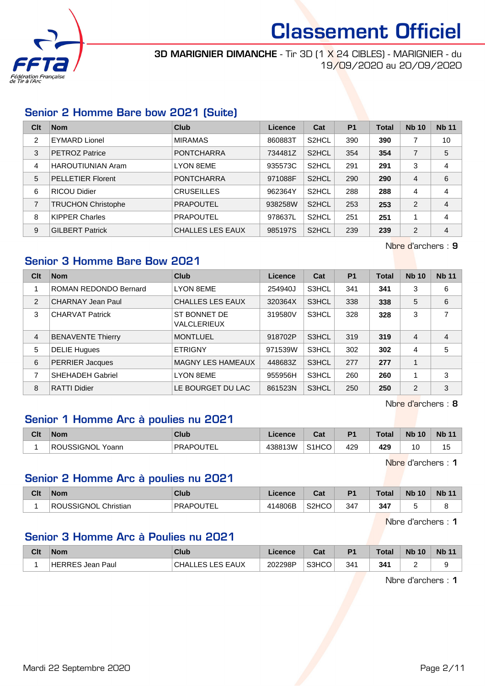

**3D MARIGNIER DIMANCHE** - Tir 3D [1 X 24 CIBLES] - MARIGNIER - du 19/09/2020 au 20/09/2020

## Senior 2 Homme Bare bow 2021 (Suite)

| Clt            | <b>Nom</b>                | Club                    | Licence | Cat                | <b>P1</b> | <b>Total</b> | <b>Nb 10</b> | <b>Nb 11</b>   |
|----------------|---------------------------|-------------------------|---------|--------------------|-----------|--------------|--------------|----------------|
| $\overline{2}$ | <b>EYMARD Lionel</b>      | <b>MIRAMAS</b>          | 860883T | S <sub>2</sub> HCL | 390       | 390          |              | 10             |
| 3              | <b>PETROZ Patrice</b>     | <b>PONTCHARRA</b>       | 734481Z | S <sub>2</sub> HCL | 354       | 354          | 7            | 5              |
| 4              | <b>HAROUTIUNIAN Aram</b>  | <b>LYON 8EME</b>        | 935573C | S <sub>2</sub> HCL | 291       | 291          | 3            | 4              |
| 5              | <b>PELLETIER Florent</b>  | <b>PONTCHARRA</b>       | 971088F | S <sub>2</sub> HCL | 290       | 290          | 4            | 6              |
| 6              | <b>RICOU Didier</b>       | <b>CRUSEILLES</b>       | 962364Y | S <sub>2</sub> HCL | 288       | 288          | 4            | 4              |
| 7              | <b>TRUCHON Christophe</b> | <b>PRAPOUTEL</b>        | 938258W | S <sub>2</sub> HCL | 253       | 253          | 2            | $\overline{4}$ |
| 8              | <b>KIPPER Charles</b>     | <b>PRAPOUTEL</b>        | 978637L | S <sub>2</sub> HCL | 251       | 251          |              | 4              |
| 9              | <b>GILBERT Patrick</b>    | <b>CHALLES LES EAUX</b> | 985197S | S <sub>2</sub> HCL | 239       | 239          | 2            | 4              |

Nbre d'archers : 9

## Senior 3 Homme Bare Bow 2021

| Clt | <b>Nom</b>               | Club                        | Licence | Cat   | <b>P1</b> | <b>Total</b> | <b>Nb 10</b>   | <b>Nb 11</b>   |
|-----|--------------------------|-----------------------------|---------|-------|-----------|--------------|----------------|----------------|
|     | ROMAN REDONDO Bernard    | <b>LYON 8EME</b>            | 254940J | S3HCL | 341       | 341          | 3              | 6              |
| 2   | CHARNAY Jean Paul        | CHALLES LES EAUX            | 320364X | S3HCL | 338       | 338          | 5              | 6              |
| 3   | <b>CHARVAT Patrick</b>   | ST BONNET DE<br>VALCLERIEUX | 319580V | S3HCL | 328       | 328          | 3              | $\overline{7}$ |
| 4   | <b>BENAVENTE Thierry</b> | <b>MONTLUEL</b>             | 918702P | S3HCL | 319       | 319          | $\overline{4}$ | $\overline{4}$ |
| 5   | <b>DELIE Hugues</b>      | <b>ETRIGNY</b>              | 971539W | S3HCL | 302       | 302          | 4              | 5              |
| 6   | PERRIER Jacques          | <b>MAGNY LES HAMEAUX</b>    | 448683Z | S3HCL | 277       | 277          | $\overline{1}$ |                |
| 7   | <b>SHEHADEH Gabriel</b>  | <b>LYON 8EME</b>            | 955956H | S3HCL | 260       | 260          | 1              | 3              |
| 8   | <b>RATTI Didier</b>      | LE BOURGET DU LAC           | 861523N | S3HCL | 250       | 250          | 2              | 3              |

Nbre d'archers : 8

### Senior 1 Homme Arc à poulies nu 2021

| Clt | <b>Nom</b>                 | Club             | Licence | ີລະ<br>uai         | D <sub>1</sub> | <b>Total</b> | <b>N<sub>b</sub></b><br>10 | <b>N<sub>b</sub></b> |
|-----|----------------------------|------------------|---------|--------------------|----------------|--------------|----------------------------|----------------------|
|     | <b>ROUSSIGNOL</b><br>Yoann | <b>PRAPOUTEL</b> | 438813W | S <sub>1</sub> HCO | 429            | 429          | 10                         | ں                    |

Nbre d'archers : 1

## Senior 2 Homme Arc à poulies nu 2021

| Clt | <b>Nom</b>                 | Club              | Licence | r.,<br>ual                     | D <sub>1</sub> | <b>Total</b>  | <b>Nb</b><br>10 | <b>Nb 11</b> |
|-----|----------------------------|-------------------|---------|--------------------------------|----------------|---------------|-----------------|--------------|
|     | :SIGNOL<br>Christian<br>DC | <b>PRAPOLITEL</b> | 806B    | S <sub>2</sub> HC <sub>O</sub> | 347            | 347<br>$\sim$ |                 | -            |

Nbre d'archers : 1

## Senior 3 Homme Arc à Poulies nu 2021

| Clt | <b>Nom</b>       | <b>Club</b>                           | Licence | <b>Date</b><br>ual | <b>P1</b> | <b>Total</b> | <b>Nb 10</b> | <b>Nb 11</b> |
|-----|------------------|---------------------------------------|---------|--------------------|-----------|--------------|--------------|--------------|
|     | HERRES Jean Paul | LES EAUX<br>ES L<br>CHAL<br>. ∖∟∟∟ J! | 202298P | S3HCO              | 341       | 341          |              |              |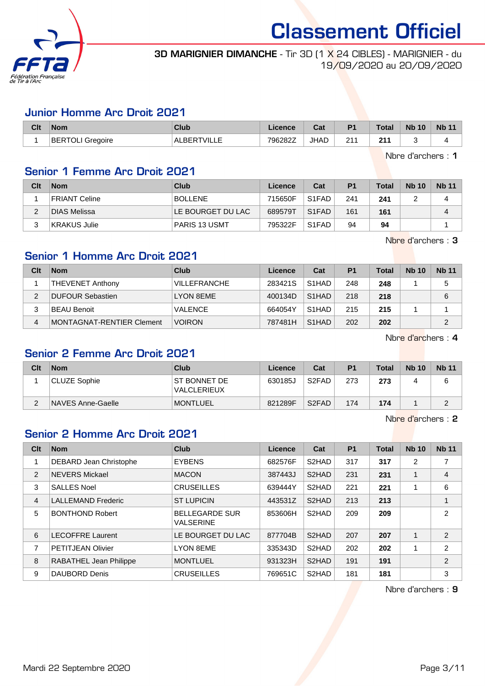

### **3D MARIGNIER DIMANCHE** - Tir 3D [1 X 24 CIBLES] - MARIGNIER - du 19/09/2020 au 20/09/2020

### Junior Homme Arc Droit 2021

| Clt | <b>Nom</b>              | Club               | Licence | Cat  | P <sub>1</sub> | Total | <b>Nb 10</b> | <b>Nb 11</b> |
|-----|-------------------------|--------------------|---------|------|----------------|-------|--------------|--------------|
|     | <b>BERTOLI Gregoire</b> | <b>ALBERTVILLE</b> | 796282Z | JHAD | 211            | 211   |              |              |

Nbre d'archers : 1

### Senior 1 Femme Arc Droit 2021

| Clt | <b>Nom</b>           | <b>Club</b>       | Licence | Cat                            | P <sub>1</sub> | Total | <b>Nb 10</b> | <b>Nb 11</b> |
|-----|----------------------|-------------------|---------|--------------------------------|----------------|-------|--------------|--------------|
|     | <b>FRIANT Celine</b> | <b>BOLLENE</b>    | 715650F | S <sub>1</sub> F <sub>AD</sub> | 241            | 241   |              | 4            |
| າ   | <b>DIAS Melissa</b>  | LE BOURGET DU LAC | 689579T | S <sub>1</sub> FAD             | 161            | 161   |              | 4            |
| ີ   | KRAKUS Julie         | PARIS 13 USMT     | 795322F | S <sub>1</sub> FAD             | 94             | 94    |              |              |

Nbre d'archers : 3

## Senior 1 Homme Arc Droit 2021

| Clt | <b>Nom</b>                | Club                | Licence | Cat                | P <sub>1</sub> | <b>Total</b> | <b>Nb 10</b> | <b>Nb 11</b>   |
|-----|---------------------------|---------------------|---------|--------------------|----------------|--------------|--------------|----------------|
|     | THEVENET Anthony          | <b>VILLEFRANCHE</b> | 283421S | S <sub>1</sub> HAD | 248            | 248          |              | 5              |
|     | <b>DUFOUR Sebastien</b>   | LYON 8EME           | 400134D | S <sub>1</sub> HAD | 218            | 218          |              | 6              |
|     | <b>BEAU Benoit</b>        | <b>VALENCE</b>      | 664054Y | S <sub>1</sub> HAD | 215            | 215          |              |                |
| 4   | MONTAGNAT-RENTIER Clement | <b>VOIRON</b>       | 787481H | S <sub>1</sub> HAD | 202            | 202          |              | $\overline{2}$ |

Nbre d'archers : 4

### Senior 2 Femme Arc Droit 2021

| Clt | <b>Nom</b>          | Club                         | Licence | Cat                | P <sub>1</sub> | Total | <b>Nb 10</b> | <b>Nb 11</b> |
|-----|---------------------|------------------------------|---------|--------------------|----------------|-------|--------------|--------------|
|     | <b>CLUZE Sophie</b> | IST BONNET DE<br>VALCLERIEUX | 630185J | S <sub>2</sub> FAD | 273            | 273   |              |              |
| C   | NAVES Anne-Gaelle   | <b>MONTLUEL</b>              | 821289F | S <sub>2</sub> FAD | 174            | 174   |              |              |

Nbre d'archers : 2

## Senior 2 Homme Arc Droit 2021

| Clt            | <b>Nom</b>                    | <b>Club</b>                               | Licence | Cat                | P <sub>1</sub> | <b>Total</b> | <b>Nb 10</b> | <b>Nb 11</b>   |
|----------------|-------------------------------|-------------------------------------------|---------|--------------------|----------------|--------------|--------------|----------------|
|                | <b>DEBARD Jean Christophe</b> | <b>EYBENS</b>                             | 682576F | S2HAD              | 317            | 317          | 2            | 7              |
| 2              | <b>NEVERS Mickael</b>         | <b>MACON</b>                              | 387443J | S <sub>2</sub> HAD | 231            | 231          |              | 4              |
| 3              | <b>SALLES Noel</b>            | <b>CRUSEILLES</b>                         | 639444Y | S2HAD              | 221            | 221          |              | 6              |
| $\overline{4}$ | <b>LALLEMAND Frederic</b>     | <b>ST LUPICIN</b>                         | 443531Z | S <sub>2</sub> HAD | 213            | 213          |              | 1              |
| 5              | <b>BONTHOND Robert</b>        | <b>BELLEGARDE SUR</b><br><b>VALSERINE</b> | 853606H | S <sub>2</sub> HAD | 209            | 209          |              | $\overline{2}$ |
| 6              | <b>LECOFFRE Laurent</b>       | LE BOURGET DU LAC                         | 877704B | S <sub>2</sub> HAD | 207            | 207          |              | $\overline{2}$ |
| $\overline{7}$ | <b>PETITJEAN Olivier</b>      | <b>LYON 8EME</b>                          | 335343D | S2HAD              | 202            | 202          |              | $\overline{2}$ |
| 8              | <b>RABATHEL Jean Philippe</b> | <b>MONTLUEL</b>                           | 931323H | S <sub>2</sub> HAD | 191            | 191          |              | $\overline{2}$ |
| 9              | DAUBORD Denis                 | <b>CRUSEILLES</b>                         | 769651C | S <sub>2</sub> HAD | 181            | 181          |              | 3              |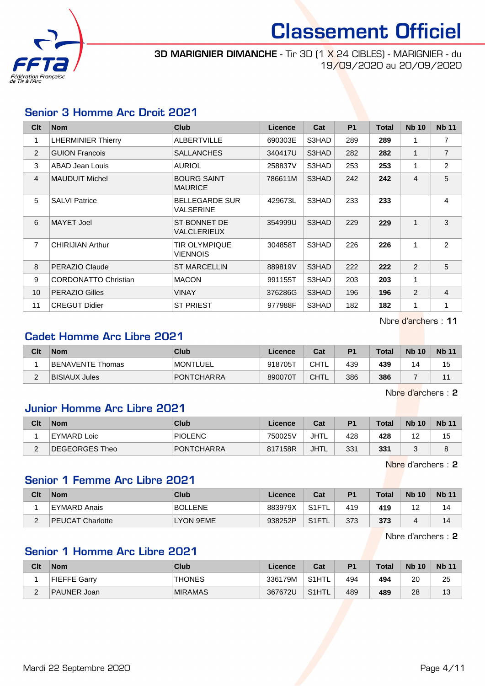

**3D MARIGNIER DIMANCHE** - Tir 3D [1 X 24 CIBLES] - MARIGNIER - du 19/09/2020 au 20/09/2020

### Senior 3 Homme Arc Droit 2021

| C <sub>it</sub> | <b>Nom</b>                  | <b>Club</b>                          | Licence | Cat   | <b>P1</b> | <b>Total</b> | <b>Nb 10</b> | <b>Nb 11</b>   |
|-----------------|-----------------------------|--------------------------------------|---------|-------|-----------|--------------|--------------|----------------|
| 1               | <b>LHERMINIER Thierry</b>   | <b>ALBERTVILLE</b>                   | 690303E | S3HAD | 289       | 289          | 1            | 7              |
| 2               | <b>GUION Francois</b>       | <b>SALLANCHES</b>                    | 340417U | S3HAD | 282       | 282          | 1            | $\overline{7}$ |
| 3               | <b>ABAD Jean Louis</b>      | <b>AURIOL</b>                        | 258837V | S3HAD | 253       | 253          | 1            | $\overline{2}$ |
| $\overline{4}$  | <b>MAUDUIT Michel</b>       | <b>BOURG SAINT</b><br><b>MAURICE</b> | 786611M | S3HAD | 242       | 242          | 4            | 5              |
| 5               | <b>SALVI Patrice</b>        | <b>BELLEGARDE SUR</b><br>VALSERINE   | 429673L | S3HAD | 233       | 233          |              | 4              |
| 6               | MAYET Joel                  | ST BONNET DE<br><b>VALCLERIEUX</b>   | 354999U | S3HAD | 229       | 229          | $\mathbf{1}$ | 3              |
| $\overline{7}$  | <b>CHIRIJIAN Arthur</b>     | <b>TIR OLYMPIQUE</b><br>VIENNOIS     | 304858T | S3HAD | 226       | 226          | 1            | 2              |
| 8               | PERAZIO Claude              | <b>ST MARCELLIN</b>                  | 889819V | S3HAD | 222       | 222          | 2            | 5              |
| 9               | <b>CORDONATTO Christian</b> | <b>MACON</b>                         | 991155T | S3HAD | 203       | 203          | 1            |                |
| 10              | <b>PERAZIO Gilles</b>       | <b>VINAY</b>                         | 376286G | S3HAD | 196       | 196          | 2            | $\overline{4}$ |
| 11              | <b>CREGUT Didier</b>        | <b>ST PRIEST</b>                     | 977988F | S3HAD | 182       | 182          | $\mathbf{1}$ | 1              |

Nbre d'archers : 11

## Cadet Homme Arc Libre 2021

| Clt | <b>Nom</b>       | Club              | Licence | Cat         | P <sub>1</sub> | Total | <b>Nb 10</b> | <b>Nb 11</b> |
|-----|------------------|-------------------|---------|-------------|----------------|-------|--------------|--------------|
|     | BENAVENTE Thomas | <b>MONTLUEL</b>   | 918705T | <b>CHTL</b> | 439            | 439   | 14           | 15           |
|     | BISIAUX Jules    | <b>PONTCHARRA</b> | 890070T | <b>CHTL</b> | 386            | 386   |              |              |

Nbre d'archers : 2

## Junior Homme Arc Libre 2021

| Clt         | <b>Nom</b>     | Club              | Licence | Cat  | P <sub>1</sub> | <b>Total</b> | <b>Nb 10</b> | <b>Nb 11</b> |
|-------------|----------------|-------------------|---------|------|----------------|--------------|--------------|--------------|
|             | EYMARD Loic    | PIOLENC           | 750025V | JHTL | 428            | 428          | $1^\circ$    | 15           |
| $\sim$<br>- | DEGEORGES Theo | <b>PONTCHARRA</b> | 817158R | JHTL | 331            | 331          |              | 8            |

Nbre d'archers : 2

## Senior 1 Femme Arc Libre 2021

| Clt      | <b>Nom</b>       | Club           | Licence | Cat                | P <sub>1</sub> | <b>Total</b> | <b>Nb 10</b> | <b>Nb 11</b> |
|----------|------------------|----------------|---------|--------------------|----------------|--------------|--------------|--------------|
|          | EYMARD Anais     | <b>BOLLENE</b> | 883979X | S <sub>1</sub> FTL | 419            | 419          | -            | 14           |
| <u>_</u> | PEUCAT Charlotte | LYON 9EME      | 938252P | S <sub>1</sub> FTL | 373            | 373          |              | 14           |

Nbre d'archers : 2

## Senior 1 Homme Arc Libre 2021

| Clt | <b>Nom</b>   | Club           | Licence | Cat                | P <sub>1</sub> | <b>Total</b> | <b>Nb 10</b> | <b>Nb 11</b> |
|-----|--------------|----------------|---------|--------------------|----------------|--------------|--------------|--------------|
|     | FIEFFE Garrv | <b>THONES</b>  | 336179M | S <sub>1</sub> HTL | 494            | 494          | 20           | 25           |
| -   | PAUNER Joan  | <b>MIRAMAS</b> | 367672U | S1HTL              | 489            | 489          | 28           | 13           |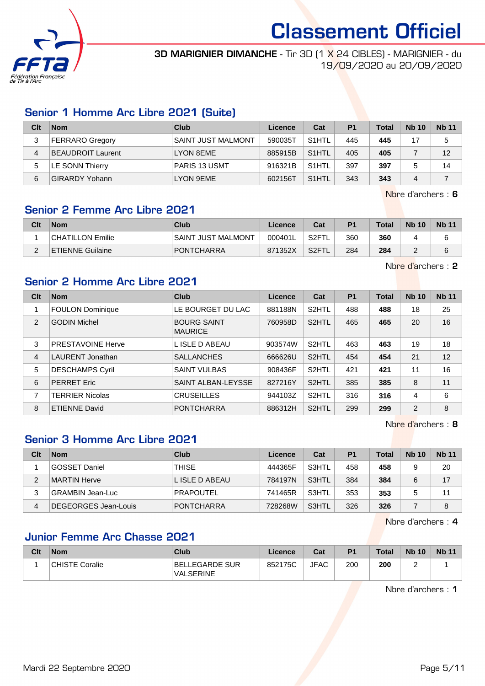

**3D MARIGNIER DIMANCHE** - Tir 3D [1 X 24 CIBLES] - MARIGNIER - du 19/09/2020 au 20/09/2020

### Senior 1 Homme Arc Libre 2021 (Suite)

| Clt | <b>Nom</b>               | Club                      | Licence | Cat                | P <sub>1</sub> | <b>Total</b> | <b>Nb 10</b> | <b>Nb 11</b> |
|-----|--------------------------|---------------------------|---------|--------------------|----------------|--------------|--------------|--------------|
| 3   | <b>FERRARO Gregory</b>   | <b>SAINT JUST MALMONT</b> | 590035T | S <sub>1</sub> HTL | 445            | 445          | 17           | 5            |
| 4   | <b>BEAUDROIT Laurent</b> | LYON 8EME                 | 885915B | S <sub>1</sub> HTL | 405            | 405          |              | 12           |
| 5   | LE SONN Thierry          | <b>PARIS 13 USMT</b>      | 916321B | S <sub>1</sub> HTL | 397            | 397          |              | 14           |
| 6   | <b>GIRARDY Yohann</b>    | LYON 9EME                 | 602156T | S <sub>1</sub> HTL | 343            | 343          | 4            |              |

Nbre d'archers : 6

## Senior 2 Femme Arc Libre 2021

| Clt | <b>Nom</b>              | Club                      | Licence | Cat                | P <sub>1</sub> | <b>Total</b> | <b>Nb 10</b> | <b>Nb 11</b> |
|-----|-------------------------|---------------------------|---------|--------------------|----------------|--------------|--------------|--------------|
|     | CHATILLON Emilie        | <b>SAINT JUST MALMONT</b> | 000401L | S <sub>2</sub> FT  | 360            | 360          |              |              |
| -   | <b>ETIENNE Guilaine</b> | <b>PONTCHARRA</b>         | 871352X | S <sub>2</sub> FTL | 284            | 284          |              |              |

Nbre d'archers : 2

### Senior 2 Homme Arc Libre 2021

| Clt            | <b>Nom</b>               | Club                                 | Licence | Cat                | <b>P1</b> | <b>Total</b> | <b>Nb 10</b> | <b>Nb 11</b> |
|----------------|--------------------------|--------------------------------------|---------|--------------------|-----------|--------------|--------------|--------------|
|                | <b>FOULON Dominique</b>  | LE BOURGET DU LAC                    | 881188N | S <sub>2</sub> HTL | 488       | 488          | 18           | 25           |
| 2              | <b>GODIN Michel</b>      | <b>BOURG SAINT</b><br><b>MAURICE</b> | 760958D | S <sub>2</sub> HTL | 465       | 465          | 20           | 16           |
| 3              | <b>PRESTAVOINE Herve</b> | L ISLE D ABEAU                       | 903574W | S <sub>2</sub> HTL | 463       | 463          | 19           | 18           |
| $\overline{4}$ | LAURENT Jonathan         | <b>SALLANCHES</b>                    | 666626U | S <sub>2</sub> HTL | 454       | 454          | 21           | 12           |
| 5              | <b>DESCHAMPS Cyril</b>   | <b>SAINT VULBAS</b>                  | 908436F | S2HTL              | 421       | 421          | 11           | 16           |
| 6              | <b>PERRET Eric</b>       | SAINT ALBAN-LEYSSE                   | 827216Y | S <sub>2</sub> HTL | 385       | 385          | 8            | 11           |
| 7              | <b>TERRIER Nicolas</b>   | <b>CRUSEILLES</b>                    | 944103Z | S <sub>2</sub> HTL | 316       | 316          | 4            | 6            |
| 8              | <b>ETIENNE David</b>     | <b>PONTCHARRA</b>                    | 886312H | S <sub>2</sub> HTL | 299       | 299          | 2            | 8            |

Nbre d'archers : 8

## Senior 3 Homme Arc Libre 2021

| Clt | <b>Nom</b>           | Club              | Licence | Cat   | P <sub>1</sub> | <b>Total</b> | <b>Nb 10</b> | <b>Nb 11</b> |
|-----|----------------------|-------------------|---------|-------|----------------|--------------|--------------|--------------|
|     | GOSSET Daniel        | THISE             | 444365F | S3HTL | 458            | 458          |              | 20           |
| 2   | MARTIN Herve         | L ISLE D ABEAU    | 784197N | S3HTL | 384            | 384          | 6            | 17           |
| 3   | GRAMBIN Jean-Luc     | <b>PRAPOUTEL</b>  | 741465R | S3HTL | 353            | 353          |              | 11           |
| 4   | DEGEORGES Jean-Louis | <b>PONTCHARRA</b> | 728268W | S3HTL | 326            | 326          |              | 8            |

Nbre d'archers : 4

## Junior Femme Arc Chasse 2021

| Clt | <b>Nom</b>            | Club                               | <b>Licence</b> | Cat         | P <sub>1</sub> | <b>Total</b> | <b>Nb 10</b> | <b>Nb 11</b> |
|-----|-----------------------|------------------------------------|----------------|-------------|----------------|--------------|--------------|--------------|
|     | <b>CHISTE Coralie</b> | BELLEGARDE SUR<br><b>VALSERINE</b> | 852175C        | <b>JFAC</b> | 200            | 200          |              |              |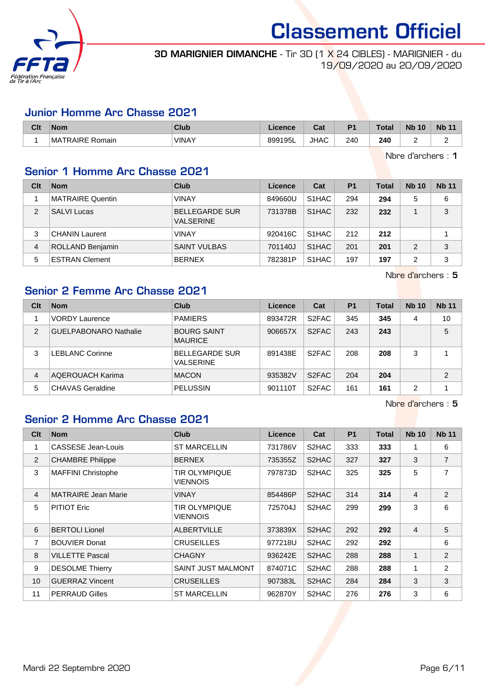

**3D MARIGNIER DIMANCHE** - Tir 3D [1 X 24 CIBLES] - MARIGNIER - du 19/09/2020 au 20/09/2020

#### Junior Homme Arc Chasse 2021

| Clt | <b>Nom</b>            | Club         | icence<br>a v | <b>DAL</b><br>ual | D <sub>1</sub> | エヘトヘー<br>∣ ∪ldi | <b>N<sub>b</sub></b><br>10 | <b>N<sub>b</sub></b> |
|-----|-----------------------|--------------|---------------|-------------------|----------------|-----------------|----------------------------|----------------------|
|     | TRAIRE Romain<br>⊹MA™ | <b>VINAY</b> | 899195L       | <b>JHAC</b>       | 240            | 240             |                            |                      |

Nbre d'archers : 1

## Senior 1 Homme Arc Chasse 2021

| Clt            | <b>Nom</b>              | Club                                      | Licence | Cat                | P <sub>1</sub> | <b>Total</b> | <b>Nb 10</b> | <b>Nb 11</b> |
|----------------|-------------------------|-------------------------------------------|---------|--------------------|----------------|--------------|--------------|--------------|
|                | MATRAIRE Quentin        | <b>VINAY</b>                              | 849660U | S <sub>1</sub> HAC | 294            | 294          | 5            | 6            |
| $\overline{2}$ | <b>SALVI Lucas</b>      | <b>BELLEGARDE SUR</b><br><b>VALSERINE</b> | 731378B | S <sub>1</sub> HAC | 232            | 232          |              | 3            |
| 3              | <b>CHANIN Laurent</b>   | <b>VINAY</b>                              | 920416C | S <sub>1</sub> HAC | 212            | 212          |              |              |
| 4              | <b>ROLLAND Benjamin</b> | <b>SAINT VULBAS</b>                       | 701140J | S <sub>1</sub> HAC | 201            | 201          | 2            | 3            |
| 5              | <b>ESTRAN Clement</b>   | <b>BERNEX</b>                             | 782381P | S1HAC              | 197            | 197          | 2            | 3            |

Nbre d'archers : 5

## Senior 2 Femme Arc Chasse 2021

| Clt            | <b>Nom</b>                   | Club                                      | Licence | Cat                | <b>P1</b> | <b>Total</b> | <b>Nb 10</b>   | <b>Nb 11</b>   |
|----------------|------------------------------|-------------------------------------------|---------|--------------------|-----------|--------------|----------------|----------------|
|                | <b>VORDY Laurence</b>        | <b>PAMIERS</b>                            | 893472R | S <sub>2</sub> FAC | 345       | 345          | 4              | 10             |
| $\overline{2}$ | <b>GUELPABONARO Nathalie</b> | <b>BOURG SAINT</b><br><b>MAURICE</b>      | 906657X | S <sub>2</sub> FAC | 243       | 243          |                | 5              |
| 3              | <b>LEBLANC Corinne</b>       | <b>BELLEGARDE SUR</b><br><b>VALSERINE</b> | 891438E | S <sub>2</sub> FAC | 208       | 208          | 3              |                |
| 4              | <b>AQEROUACH Karima</b>      | <b>MACON</b>                              | 935382V | S <sub>2</sub> FAC | 204       | 204          |                | $\overline{2}$ |
| 5              | <b>CHAVAS Geraldine</b>      | <b>PELUSSIN</b>                           | 901110T | S <sub>2</sub> FAC | 161       | 161          | $\overline{2}$ |                |

Nbre d'archers : 5

## Senior 2 Homme Arc Chasse 2021

| C <sub>it</sub> | <b>Nom</b>                 | <b>Club</b>               | <b>Licence</b> | Cat   | <b>P1</b> | <b>Total</b> | <b>Nb 10</b>   | <b>Nb 11</b>   |
|-----------------|----------------------------|---------------------------|----------------|-------|-----------|--------------|----------------|----------------|
| 1               | CASSESE Jean-Louis         | <b>ST MARCELLIN</b>       | 731786V        | S2HAC | 333       | 333          | 1              | 6              |
| 2               | <b>CHAMBRE Philippe</b>    | <b>BERNEX</b>             | 735355Z        | S2HAC | 327       | 327          | 3              | $\overline{7}$ |
| 3               | <b>MAFFINI Christophe</b>  | TIR OLYMPIQUE<br>VIENNOIS | 797873D        | S2HAC | 325       | 325          | 5              | 7              |
| $\overline{4}$  | <b>MATRAIRE Jean Marie</b> | VINAY                     | 854486P        | S2HAC | 314       | 314          | $\overline{4}$ | 2              |
| 5               | <b>PITIOT Eric</b>         | TIR OLYMPIQUE<br>VIENNOIS | 725704J        | S2HAC | 299       | 299          | 3              | 6              |
| 6               | <b>BERTOLI Lionel</b>      | <b>ALBERTVILLE</b>        | 373839X        | S2HAC | 292       | 292          | $\overline{4}$ | 5              |
| $\overline{7}$  | <b>BOUVIER Donat</b>       | <b>CRUSEILLES</b>         | 977218U        | S2HAC | 292       | 292          |                | 6              |
| 8               | <b>VILLETTE Pascal</b>     | <b>CHAGNY</b>             | 936242E        | S2HAC | 288       | 288          | 1              | $\overline{2}$ |
| 9               | <b>DESOLME Thierry</b>     | <b>SAINT JUST MALMONT</b> | 874071C        | S2HAC | 288       | 288          | 1              | $\overline{2}$ |
| 10              | <b>GUERRAZ Vincent</b>     | <b>CRUSEILLES</b>         | 907383L        | S2HAC | 284       | 284          | 3              | 3              |
| 11              | <b>PERRAUD Gilles</b>      | <b>ST MARCELLIN</b>       | 962870Y        | S2HAC | 276       | 276          | 3              | 6              |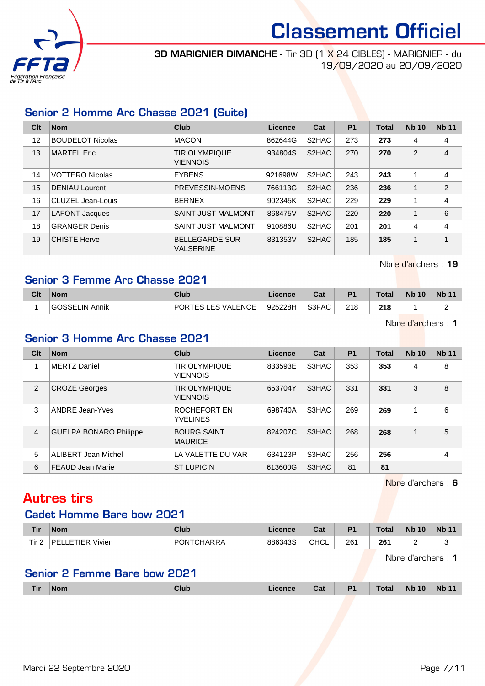

**3D MARIGNIER DIMANCHE** - Tir 3D [1 X 24 CIBLES] - MARIGNIER - du 19/09/2020 au 20/09/2020

## Senior 2 Homme Arc Chasse 2021 (Suite)

| Clt | <b>Nom</b>              | Club                                      | Licence | Cat                | <b>P1</b> | <b>Total</b> | <b>Nb 10</b> | <b>Nb 11</b>   |
|-----|-------------------------|-------------------------------------------|---------|--------------------|-----------|--------------|--------------|----------------|
| 12  | <b>BOUDELOT Nicolas</b> | <b>MACON</b>                              | 862644G | S2HAC              | 273       | 273          | 4            | 4              |
| 13  | <b>MARTEL Eric</b>      | <b>TIR OLYMPIQUE</b><br><b>VIENNOIS</b>   | 934804S | S2HAC              | 270       | 270          | 2            | $\overline{4}$ |
| 14  | <b>VOTTERO Nicolas</b>  | <b>EYBENS</b>                             | 921698W | S <sub>2</sub> HAC | 243       | 243          | 1            | 4              |
| 15  | <b>DENIAU Laurent</b>   | PREVESSIN-MOENS                           | 766113G | S2HAC              | 236       | 236          | 1            | 2              |
| 16  | CLUZEL Jean-Louis       | <b>BERNEX</b>                             | 902345K | S2HAC              | 229       | 229          | 1            | 4              |
| 17  | <b>LAFONT Jacques</b>   | <b>SAINT JUST MALMONT</b>                 | 868475V | S2HAC              | 220       | 220          | $\mathbf{1}$ | 6              |
| 18  | <b>GRANGER Denis</b>    | <b>SAINT JUST MALMONT</b>                 | 910886U | S2HAC              | 201       | 201          | 4            | 4              |
| 19  | <b>CHISTE Herve</b>     | <b>BELLEGARDE SUR</b><br><b>VALSERINE</b> | 831353V | S <sub>2</sub> HAC | 185       | 185          | 1            | 1              |

Nbre d'archers : 19

## Senior 3 Femme Arc Chasse 2021

| Clt | Nom             | Club                                  | <b>Licence</b> | r.,<br>va. | P <sub>1</sub> | <b>Total</b> | <b>Nb 10</b> | <b>N<sub>b</sub></b> |
|-----|-----------------|---------------------------------------|----------------|------------|----------------|--------------|--------------|----------------------|
|     | ⊦GOSSELIN Annik | <b>'TES LES VALENCE</b><br><b>POR</b> | 925228H        | S3FAC      | 218            | 218          |              |                      |

Nbre d'archers : 1

## Senior 3 Homme Arc Chasse 2021

| Clt | <b>Nom</b>                    | Club                                    | Licence | Cat   | P <sub>1</sub> | <b>Total</b> | <b>Nb 10</b> | <b>Nb 11</b> |
|-----|-------------------------------|-----------------------------------------|---------|-------|----------------|--------------|--------------|--------------|
|     | MERTZ Daniel                  | <b>TIR OLYMPIQUE</b><br><b>VIENNOIS</b> | 833593E | S3HAC | 353            | 353          | 4            | 8            |
| 2   | <b>CROZE Georges</b>          | <b>TIR OLYMPIQUE</b><br><b>VIENNOIS</b> | 653704Y | S3HAC | 331            | 331          | 3            | 8            |
| 3   | <b>ANDRE Jean-Yves</b>        | ROCHEFORT EN<br><b>YVELINES</b>         | 698740A | S3HAC | 269            | 269          |              | 6            |
| 4   | <b>GUELPA BONARO Philippe</b> | <b>BOURG SAINT</b><br><b>MAURICE</b>    | 824207C | S3HAC | 268            | 268          |              | 5            |
| 5   | <b>ALIBERT Jean Michel</b>    | LA VALETTE DU VAR                       | 634123P | S3HAC | 256            | 256          |              | 4            |
| 6   | <b>FEAUD Jean Marie</b>       | <b>ST LUPICIN</b>                       | 613600G | S3HAC | 81             | 81           |              |              |

Nbre d'archers : 6

## Autres tirs

#### Cadet Homme Bare bow 2021

| <b>Tir</b> | <b>Nom</b>                 | <b>Club</b> | .icence | $\sim$<br>ual. | D4  | <b>Total</b> | <b>N<sub>b</sub></b><br>10 | <b>N<sub>b</sub></b><br>$\overline{A}$ |
|------------|----------------------------|-------------|---------|----------------|-----|--------------|----------------------------|----------------------------------------|
| Tir.       | <b>ETIER Vivien</b><br>DEI | PONTCHARRA  | 886343S | CHCL           | 261 | 261          | -                          |                                        |

Nbre d'archers : 1

### Senior 2 Femme Bare bow 2021

| Tir | <b>Nom</b> | <b>Club</b> | Cat | D <sub>1</sub> | Total | <b>Nb 10</b> | <b>Nb 11</b> |
|-----|------------|-------------|-----|----------------|-------|--------------|--------------|
|     |            |             |     |                |       |              |              |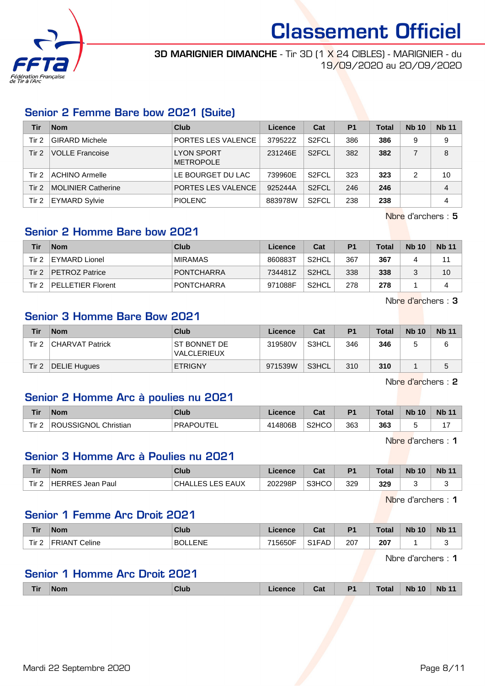

**3D MARIGNIER DIMANCHE** - Tir 3D [1 X 24 CIBLES] - MARIGNIER - du 19/09/2020 au 20/09/2020

### Senior 2 Femme Bare bow 2021 (Suite)

| Tir   | <b>Nom</b>                | Club                                  | Licence | Cat                | P <sub>1</sub> | <b>Total</b> | <b>Nb 10</b> | <b>Nb 11</b> |
|-------|---------------------------|---------------------------------------|---------|--------------------|----------------|--------------|--------------|--------------|
| Tir 2 | <b>GIRARD Michele</b>     | PORTES LES VALENCE                    | 379522Z | S <sub>2</sub> FCL | 386            | 386          | 9            | 9            |
| Tir 2 | <b>VOLLE Francoise</b>    | <b>LYON SPORT</b><br><b>METROPOLE</b> | 231246E | S <sub>2</sub> FCL | 382            | 382          |              | 8            |
| Tir 2 | <b>ACHINO Armelle</b>     | LE BOURGET DU LAC                     | 739960E | S <sub>2</sub> FCL | 323            | 323          | 2            | 10           |
| Tir 2 | <b>MOLINIER Catherine</b> | <b>PORTES LES VALENCE</b>             | 925244A | S <sub>2</sub> FCL | 246            | 246          |              | 4            |
| Tir 2 | <b>EYMARD Sylvie</b>      | <b>PIOLENC</b>                        | 883978W | S <sub>2</sub> FCL | 238            | 238          |              | 4            |

Nbre d'archers : 5

## Senior 2 Homme Bare bow 2021

| Tir   | <b>Nom</b>               | Club              | Licence | Cat                | P <sub>1</sub> | <b>Total</b> | <b>Nb 10</b> | <b>Nb</b> 11 |
|-------|--------------------------|-------------------|---------|--------------------|----------------|--------------|--------------|--------------|
| Tir 2 | EYMARD Lionel            | <b>MIRAMAS</b>    | 860883T | S <sub>2</sub> HCL | 367            | 367          |              | 11           |
| Tir 2 | <b>PETROZ Patrice</b>    | PONTCHARRA        | 734481Z | S <sub>2</sub> HCL | 338            | 338          |              | 10           |
| Tir 2 | <b>PELLETIER Florent</b> | <b>PONTCHARRA</b> | 971088F | S2HCL              | 278            | 278          |              | Δ            |

Nbre d'archers : 3

## Senior 3 Homme Bare Bow 2021

| Tir     | <b>Nom</b>      | Club                               | Licence | Cat   | P <sub>1</sub> | <b>Total</b> | <b>Nb 10</b> | <b>Nb 11</b> |
|---------|-----------------|------------------------------------|---------|-------|----------------|--------------|--------------|--------------|
| Tir 2   | CHARVAT Patrick | <b>ST BONNET DE</b><br>VALCLERIEUX | 319580V | S3HCL | 346            | 346          |              |              |
| Tir $2$ | DELIE Hugues    | <b>ETRIGNY</b>                     | 971539W | S3HCL | 310            | 310          |              |              |

Nbre d'archers : 2

### Senior 2 Homme Arc à poulies nu 2021

| <b>Tir</b>       | <b>Nom</b>                     | <b>Club</b>      | icence       | יה<br>va.          | D <sub>4</sub> | Total | <b>Nb</b><br>10 | <b>Nb</b> |
|------------------|--------------------------------|------------------|--------------|--------------------|----------------|-------|-----------------|-----------|
| Tir <sub>2</sub> | Christian<br><b>ROUSSIGNOL</b> | <b>PRAPOUTEI</b> | 14806B<br>11 | S <sub>2</sub> HCO | 363            | 363   |                 |           |

Nbre d'archers : 1

#### Senior 3 Homme Arc à Poulies nu 2021

| Tir   | Nom              | Club                  | Licence | <b>Dol</b><br>ua. | <b>P1</b> | <b>Total</b> | <b>Nb 10</b> | <b>Nb 11</b> |
|-------|------------------|-----------------------|---------|-------------------|-----------|--------------|--------------|--------------|
| Tir 2 | HERRES Jean Paul | CHALI<br>LES LES EAUX | 202298P | S3HCO             | 329       | 329          |              | s.           |

Nbre d'archers : 1

## Senior 1 Femme Arc Droit 2021

| <b>Tir</b> | <b>Nom</b>               | <b>Club</b> | <b>Licence</b> | ∩^∙<br>ua.                     | D <sup>4</sup> | <b>Total</b>  | <b>N<sub>b</sub></b><br>10 | <b>Nb</b> |
|------------|--------------------------|-------------|----------------|--------------------------------|----------------|---------------|----------------------------|-----------|
| Tir 2      | ົ⊂eline<br><b>FRIANT</b> | LENE<br>BOL | 715650F        | S <sub>1</sub> F <sub>AD</sub> | 207<br>$\sim$  | 207<br>$\sim$ |                            |           |

Nbre d'archers : 1

### Senior 1 Homme Arc Droit 2021

| Tir | <b>Nom</b><br>------ | Club | cence | Cat | D <sub>1</sub><br>. . | <b>Total</b> | 10<br><b>Nb</b> | <b>Nb</b><br>$\overline{\phantom{a}}$ |
|-----|----------------------|------|-------|-----|-----------------------|--------------|-----------------|---------------------------------------|
|     |                      |      |       |     |                       |              |                 |                                       |

Mardi 22 Septembre 2020 **Page 8/11**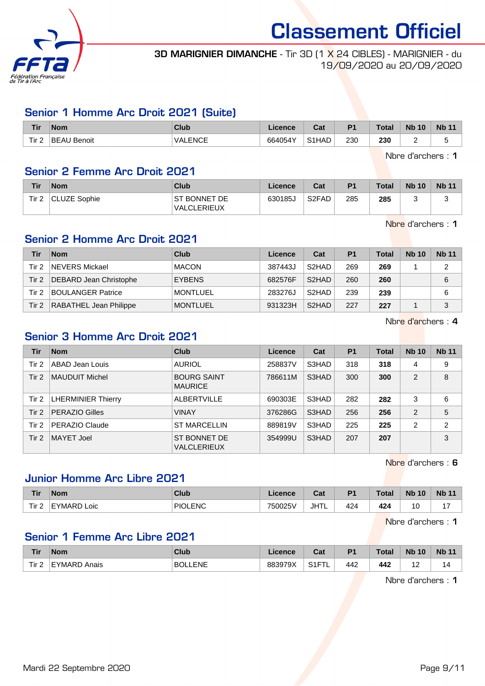

**3D MARIGNIER DIMANCHE** - Tir 3D [1 X 24 CIBLES] - MARIGNIER - du 19/09/2020 au 20/09/2020

### Senior 1 Homme Arc Droit 2021 (Suite)

| <b>Tir</b> | <b>Nom</b>              | <b>Club</b>                     | Licence | $R_{\rm eff}$<br>⊍a | D <sub>1</sub> | <b>Total</b> | 10<br><b>N<sub>b</sub></b> | <b>Nb 11</b>                   |
|------------|-------------------------|---------------------------------|---------|---------------------|----------------|--------------|----------------------------|--------------------------------|
| Tir 2      | <b>BEAU</b><br>' Benoit | J ENCE<br>⊺VALEinUL<br>________ | 664054Y | S <sub>1</sub> HAD  | 230<br>__      | 230<br>- -   | -                          | $\overline{\phantom{0}}$<br>۰. |

Nbre d'archers : 1

### Senior 2 Femme Arc Droit 2021

| Tir              | <b>Nom</b>          | <b>Club</b>                          | Licence | Cat                            | P <sub>1</sub> | <b>Total</b> | <b>Nb 10</b> | <b>Nb 11</b> |
|------------------|---------------------|--------------------------------------|---------|--------------------------------|----------------|--------------|--------------|--------------|
| Tir <sub>2</sub> | <b>CLUZE Sophie</b> | I ST BONNET DE<br><b>VALCLERIEUX</b> | 630185J | S <sub>2</sub> F <sub>AD</sub> | 285            | 285          |              |              |

Nbre d'archers : 1

## Senior 2 Homme Arc Droit 2021

| Tir   | <b>Nom</b>                    | Club            | Licence | Cat                | P <sub>1</sub> | <b>Total</b> | <b>Nb 10</b> | <b>Nb 11</b> |
|-------|-------------------------------|-----------------|---------|--------------------|----------------|--------------|--------------|--------------|
| Tir 2 | NEVERS Mickael                | <b>MACON</b>    | 387443J | S <sub>2</sub> HAD | 269            | 269          |              | າ            |
| Tir 2 | <b>DEBARD Jean Christophe</b> | <b>EYBENS</b>   | 682576F | S <sub>2</sub> HAD | 260            | 260          |              | 6            |
| Tir 2 | <b>BOULANGER Patrice</b>      | <b>MONTLUEL</b> | 283276J | S <sub>2</sub> HAD | 239            | 239          |              | 6            |
| Tir 2 | RABATHEL Jean Philippe        | <b>MONTLUEL</b> | 931323H | S <sub>2</sub> HAD | 227            | 227          |              | 3            |

Nbre d'archers : 4

## Senior 3 Homme Arc Droit 2021

| Tir   | <b>Nom</b>                | <b>Club</b>                          | Licence | Cat   | <b>P1</b> | <b>Total</b> | <b>Nb 10</b>   | <b>Nb 11</b>   |
|-------|---------------------------|--------------------------------------|---------|-------|-----------|--------------|----------------|----------------|
| Tir 2 | ABAD Jean Louis           | <b>AURIOL</b>                        | 258837V | S3HAD | 318       | 318          | 4              | 9              |
| Tir 2 | <b>MAUDUIT Michel</b>     | <b>BOURG SAINT</b><br><b>MAURICE</b> | 786611M | S3HAD | 300       | 300          | 2              | 8              |
| Tir 2 | <b>LHERMINIER Thierry</b> | <b>ALBERTVILLE</b>                   | 690303E | S3HAD | 282       | 282          | 3              | 6              |
| Tir 2 | <b>PERAZIO Gilles</b>     | <b>VINAY</b>                         | 376286G | S3HAD | 256       | 256          | $\overline{2}$ | 5              |
| Tir 2 | PERAZIO Claude            | <b>ST MARCELLIN</b>                  | 889819V | S3HAD | 225       | 225          | $\overline{2}$ | $\overline{2}$ |
| Tir 2 | <b>MAYET Joel</b>         | ST BONNET DE<br><b>VALCLERIEUX</b>   | 354999U | S3HAD | 207       | 207          |                | 3              |

Nbre d'archers : 6

## Junior Homme Arc Libre 2021

| <b>Tir</b> | <b>Nom</b>     | Club           | ∟icence | $R_{\rm{eff}}$<br>ual | <b>P1</b> | <b>Total</b> | <b>Nb 10</b> | <b>Nb 11</b> |
|------------|----------------|----------------|---------|-----------------------|-----------|--------------|--------------|--------------|
| Tir $2$    | EYMARD<br>Loic | <b>PIOLENC</b> | 750025V | <b>JHTL</b>           | 424       | 424          | 10           | . –          |

Nbre d'archers : 1

## Senior 1 Femme Arc Libre 2021

| <b>Tir</b> | <b>Nom</b>      | <b>Club</b>       | Licence | <b>r</b> ~1<br>υαι           | P <sub>1</sub> | Total | <b>Nb</b><br>10       | <b>Nb 11</b> |
|------------|-----------------|-------------------|---------|------------------------------|----------------|-------|-----------------------|--------------|
| Tir 2<br>- | EYMARD<br>Anais | <b>ENF</b><br>RC. | 883979X | $\sim$ $ \sim$<br>ا ا ب<br>- | 442            | 442   | $\overline{A}$<br>. . | ıΔ           |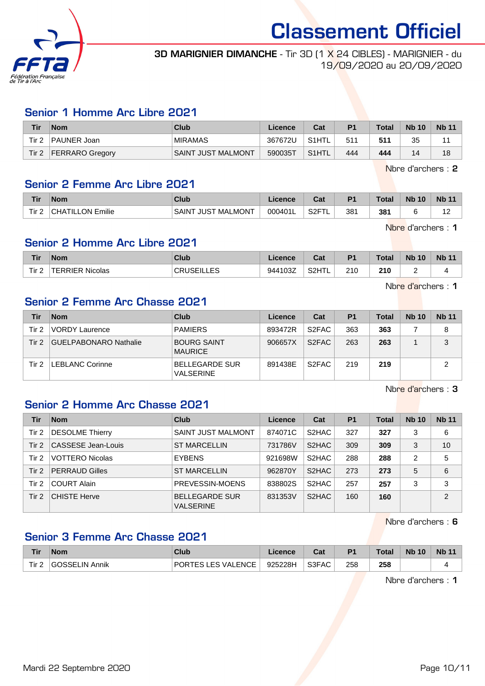

#### **3D MARIGNIER DIMANCHE** - Tir 3D [1 X 24 CIBLES] - MARIGNIER - du 19/09/2020 au 20/09/2020

### Senior 1 Homme Arc Libre 2021

| Tir   | <b>Nom</b>             | Club               | Licence | Cat                | P <sub>1</sub> | <b>Total</b> | <b>Nb 10</b> | <b>Nb 11</b> |
|-------|------------------------|--------------------|---------|--------------------|----------------|--------------|--------------|--------------|
| Tir 2 | PAUNER Joan            | <b>MIRAMAS</b>     | 367672U | S <sub>1</sub> HTL | 51'            | 511          | 35           |              |
| Tir 2 | <b>FERRARO Gregory</b> | SAINT JUST MALMONT | 590035T | S1HTL <sup>1</sup> | 444            | 444          | 14           | 18           |

Nbre d'archers : 2

#### Senior 2 Femme Arc Libre 2021

| <b>Tir</b> | Nom                           | Club                                          | icence  | ∩∼<br>⊍aι                                                                   | P <sub>1</sub> | Total | <b>Nb</b><br>10 | <b>N<sub>b</sub></b><br>AA |
|------------|-------------------------------|-----------------------------------------------|---------|-----------------------------------------------------------------------------|----------------|-------|-----------------|----------------------------|
| Tir<br>-   | <br>וו־<br>ገN<br>ΉA<br>Emilie | , MALMONT<br><b>SAIN1</b><br>JUS <sup>-</sup> | 000401L | $\overline{\phantom{a}}$ S2F <sup><math>\overline{\phantom{a}}</math></sup> | 381            | 381   |                 | $\overline{ }$<br>$\sim$   |

Nbre d'archers : 1

### Senior 2 Homme Arc Libre 2021

| <b>Tir</b>            | <b>Nom</b>                | <b>Club</b> | cence               | $\sim$<br>val                       | <b>P1</b>  | <b>Total</b>  | <b>Nb</b><br>10 | <b>Nb</b> |
|-----------------------|---------------------------|-------------|---------------------|-------------------------------------|------------|---------------|-----------------|-----------|
| Tir <sub>2</sub><br>- | Nicolas<br><b>LEBBIFB</b> | ᄃ           | 027<br>0441<br>ി∪ാ∠ | <b>SOHTI</b><br>۱۱۱ - ۱۱۷<br>$\sim$ | 210<br>___ | 210<br>$\sim$ | -               |           |

Nbre d'archers : 1

## Senior 2 Femme Arc Chasse 2021

| Tir   | <b>Nom</b>             | Club                                      | Licence | Cat                | P <sub>1</sub> | <b>Total</b> | <b>Nb 10</b> | <b>Nb 11</b> |
|-------|------------------------|-------------------------------------------|---------|--------------------|----------------|--------------|--------------|--------------|
| Tir 2 | <b>VORDY Laurence</b>  | <b>PAMIERS</b>                            | 893472R | S <sub>2</sub> FAC | 363            | 363          |              | 8            |
| Tir 2 | GUELPABONARO Nathalie  | <b>BOURG SAINT</b><br><b>MAURICE</b>      | 906657X | S <sub>2</sub> FAC | 263            | 263          |              | 3            |
| Tir 2 | <b>LEBLANC Corinne</b> | <b>BELLEGARDE SUR</b><br><b>VALSERINE</b> | 891438E | S <sub>2</sub> FAC | 219            | 219          |              | っ            |

Nbre d'archers : 3

### Senior 2 Homme Arc Chasse 2021

| Tir      | <b>Nom</b>             | Club                                      | Licence | Cat                | P <sub>1</sub> | <b>Total</b> | <b>Nb 10</b> | <b>Nb 11</b>  |
|----------|------------------------|-------------------------------------------|---------|--------------------|----------------|--------------|--------------|---------------|
| Tir 2    | <b>DESOLME Thierry</b> | <b>SAINT JUST MALMONT</b>                 | 874071C | S <sub>2</sub> HAC | 327            | 327          | 3            | 6             |
| Tir 2    | CASSESE Jean-Louis     | <b>ST MARCELLIN</b>                       | 731786V | S <sub>2</sub> HAC | 309            | 309          | 3            | 10            |
| Tir 2    | <b>VOTTERO Nicolas</b> | <b>EYBENS</b>                             | 921698W | S2HAC              | 288            | 288          | 2            | 5             |
| Tir $21$ | <b>PERRAUD Gilles</b>  | <b>ST MARCELLIN</b>                       | 962870Y | S <sub>2</sub> HAC | 273            | 273          | 5            | 6             |
| Tir 2    | <b>COURT Alain</b>     | PREVESSIN-MOENS                           | 838802S | S <sub>2</sub> HAC | 257            | 257          | 3            | 3             |
| Tir 2    | <b>CHISTE Herve</b>    | <b>BELLEGARDE SUR</b><br><b>VALSERINE</b> | 831353V | S <sub>2</sub> HAC | 160            | 160          |              | $\mathcal{P}$ |

Nbre d'archers : 6

### Senior 3 Femme Arc Chasse 2021

| Tir              | <b>Nom</b>     | Club               | Licence | $R_{\rm{orb}}$<br>sal | <b>P1</b> | <b>Total</b> | <b>Nb 10</b> | <b>Nb 11</b> |
|------------------|----------------|--------------------|---------|-----------------------|-----------|--------------|--------------|--------------|
| Tir <sub>2</sub> | GOSSELIN Annik | PORTES LES VALENCE | 925228H | S3FAC                 | 258       | 258          |              |              |